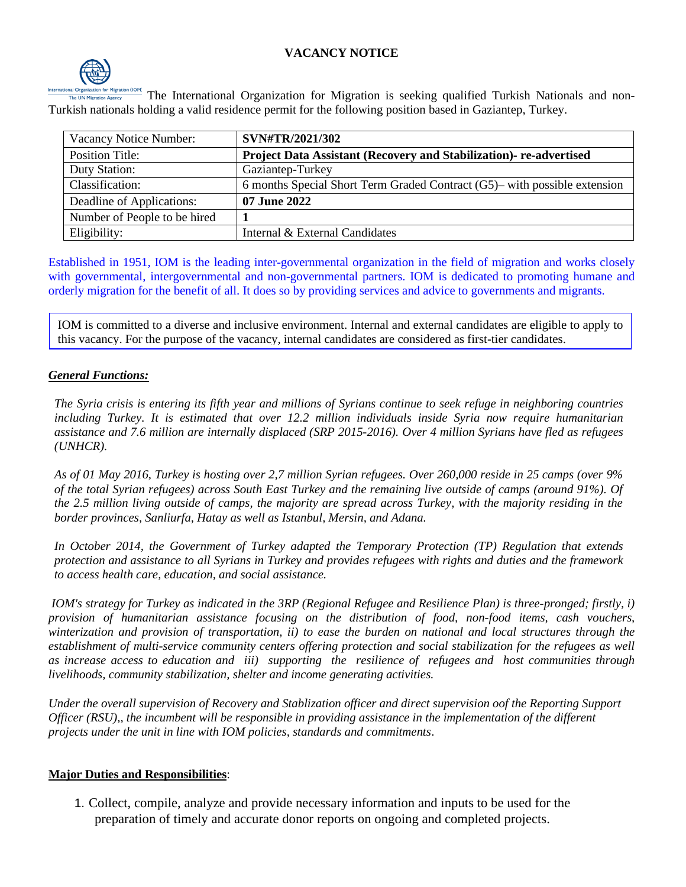## **VACANCY NOTICE**



The International Organization for Migration is seeking qualified Turkish Nationals and non-Turkish nationals holding a valid residence permit for the following position based in Gaziantep, Turkey.

| Vacancy Notice Number:       | SVN#TR/2021/302                                                           |
|------------------------------|---------------------------------------------------------------------------|
| <b>Position Title:</b>       | Project Data Assistant (Recovery and Stabilization)- re-advertised        |
| Duty Station:                | Gaziantep-Turkey                                                          |
| Classification:              | 6 months Special Short Term Graded Contract (G5)– with possible extension |
| Deadline of Applications:    | 07 June 2022                                                              |
| Number of People to be hired |                                                                           |
| Eligibility:                 | Internal & External Candidates                                            |

Established in 1951, IOM is the leading inter-governmental organization in the field of migration and works closely with governmental, intergovernmental and non-governmental partners. IOM is dedicated to promoting humane and orderly migration for the benefit of all. It does so by providing services and advice to governments and migrants.

IOM is committed to a diverse and inclusive environment. Internal and external candidates are eligible to apply to this vacancy. For the purpose of the vacancy, internal candidates are considered as first-tier candidates.

### *General Functions:*

*The Syria crisis is entering its fifth year and millions of Syrians continue to seek refuge in neighboring countries including Turkey. It is estimated that over 12.2 million individuals inside Syria now require humanitarian assistance and 7.6 million are internally displaced (SRP 2015-2016). Over 4 million Syrians have fled as refugees (UNHCR).*

*As of 01 May 2016, Turkey is hosting over 2,7 million Syrian refugees. Over 260,000 reside in 25 camps (over 9% of the total Syrian refugees) across South East Turkey and the remaining live outside of camps (around 91%). Of the 2.5 million living outside of camps, the majority are spread across Turkey, with the majority residing in the border provinces, Sanliurfa, Hatay as well as Istanbul, Mersin, and Adana.*

*In October 2014, the Government of Turkey adapted the Temporary Protection (TP) Regulation that extends protection and assistance to all Syrians in Turkey and provides refugees with rights and duties and the framework to access health care, education, and social assistance.*

*IOM's strategy for Turkey as indicated in the 3RP (Regional Refugee and Resilience Plan) is three-pronged; firstly, i) provision of humanitarian assistance focusing on the distribution of food, non-food items, cash vouchers, winterization and provision of transportation, ii) to ease the burden on national and local structures through the establishment of multi-service community centers offering protection and social stabilization for the refugees as well as increase access to education and iii) supporting the resilience of refugees and host communities through livelihoods, community stabilization, shelter and income generating activities.*

*Under the overall supervision of Recovery and Stablization officer and direct supervision oof the Reporting Support Officer (RSU),, the incumbent will be responsible in providing assistance in the implementation of the different projects under the unit in line with IOM policies, standards and commitments*.

#### **Major Duties and Responsibilities**:

1. Collect, compile, analyze and provide necessary information and inputs to be used for the preparation of timely and accurate donor reports on ongoing and completed projects.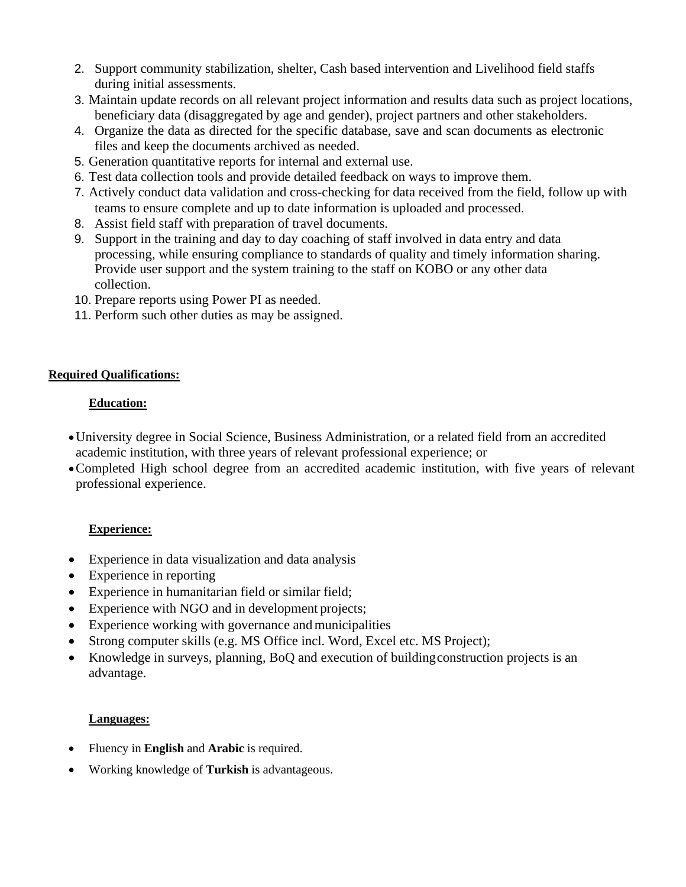- 2. Support community stabilization, shelter, Cash based intervention and Livelihood field staffs during initial assessments.
- 3. Maintain update records on all relevant project information and results data such as project locations, beneficiary data (disaggregated by age and gender), project partners and other stakeholders.
- 4. Organize the data as directed for the specific database, save and scan documents as electronic files and keep the documents archived as needed.
- 5. Generation quantitative reports for internal and external use.
- 6. Test data collection tools and provide detailed feedback on ways to improve them.
- 7. Actively conduct data validation and cross-checking for data received from the field, follow up with teams to ensure complete and up to date information is uploaded and processed.
- 8. Assist field staff with preparation of travel documents.
- 9. Support in the training and day to day coaching of staff involved in data entry and data processing, while ensuring compliance to standards of quality and timely information sharing. Provide user support and the system training to the staff on KOBO or any other data collection.
- 10. Prepare reports using Power PI as needed.
- 11. Perform such other duties as may be assigned.

## **Required Qualifications:**

# **Education:**

- •University degree in Social Science, Business Administration, or a related field from an accredited academic institution, with three years of relevant professional experience; or
- •Completed High school degree from an accredited academic institution, with five years of relevant professional experience.

# **Experience:**

- Experience in data visualization and data analysis
- Experience in reporting
- Experience in humanitarian field or similar field;
- Experience with NGO and in development projects;
- Experience working with governance and municipalities
- Strong computer skills (e.g. MS Office incl. Word, Excel etc. MS Project);
- Knowledge in surveys, planning, BoO and execution of building construction projects is an advantage.

## **Languages:**

- Fluency in **English** and **Arabic** is required.
- Working knowledge of **Turkish** is advantageous.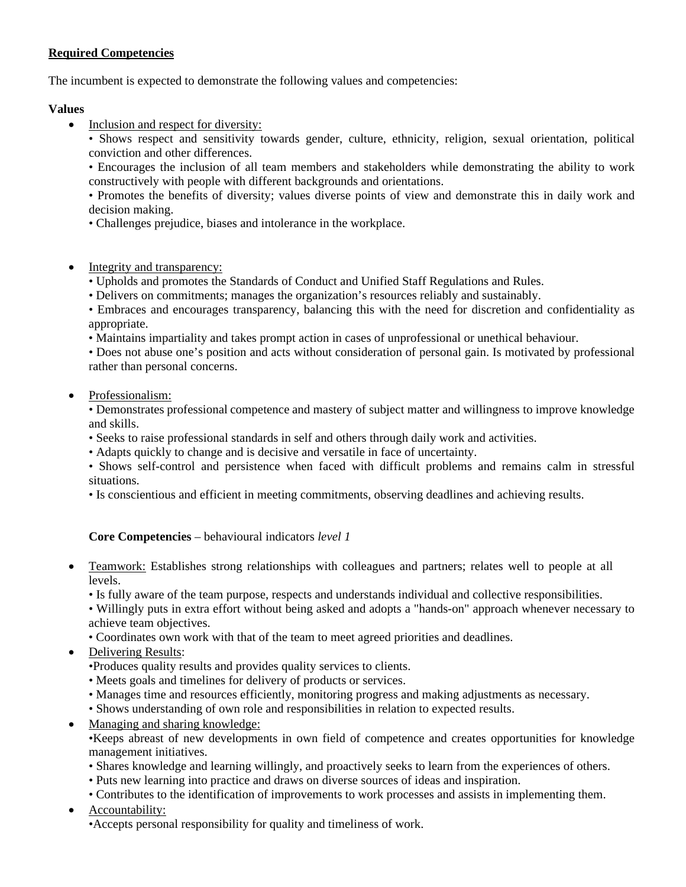### **Required Competencies**

The incumbent is expected to demonstrate the following values and competencies:

### **Values**

• Inclusion and respect for diversity:

• Shows respect and sensitivity towards gender, culture, ethnicity, religion, sexual orientation, political conviction and other differences.

• Encourages the inclusion of all team members and stakeholders while demonstrating the ability to work constructively with people with different backgrounds and orientations.

• Promotes the benefits of diversity; values diverse points of view and demonstrate this in daily work and decision making.

- Challenges prejudice, biases and intolerance in the workplace.
- Integrity and transparency:
	- Upholds and promotes the Standards of Conduct and Unified Staff Regulations and Rules.
	- Delivers on commitments; manages the organization's resources reliably and sustainably.
	- Embraces and encourages transparency, balancing this with the need for discretion and confidentiality as appropriate.
	- Maintains impartiality and takes prompt action in cases of unprofessional or unethical behaviour.

• Does not abuse one's position and acts without consideration of personal gain. Is motivated by professional rather than personal concerns.

• Professionalism:

• Demonstrates professional competence and mastery of subject matter and willingness to improve knowledge and skills.

- Seeks to raise professional standards in self and others through daily work and activities.
- Adapts quickly to change and is decisive and versatile in face of uncertainty.
- Shows self-control and persistence when faced with difficult problems and remains calm in stressful situations.
- Is conscientious and efficient in meeting commitments, observing deadlines and achieving results.

### **Core Competencies** – behavioural indicators *level 1*

- Teamwork: Establishes strong relationships with colleagues and partners; relates well to people at all levels.
	- Is fully aware of the team purpose, respects and understands individual and collective responsibilities.

• Willingly puts in extra effort without being asked and adopts a "hands-on" approach whenever necessary to achieve team objectives.

- Coordinates own work with that of the team to meet agreed priorities and deadlines.
- Delivering Results:
	- •Produces quality results and provides quality services to clients.
	- Meets goals and timelines for delivery of products or services.
	- Manages time and resources efficiently, monitoring progress and making adjustments as necessary.
	- Shows understanding of own role and responsibilities in relation to expected results.
- Managing and sharing knowledge:

•Keeps abreast of new developments in own field of competence and creates opportunities for knowledge management initiatives.

- Shares knowledge and learning willingly, and proactively seeks to learn from the experiences of others.
- Puts new learning into practice and draws on diverse sources of ideas and inspiration.
- Contributes to the identification of improvements to work processes and assists in implementing them.
- Accountability:
	- •Accepts personal responsibility for quality and timeliness of work.